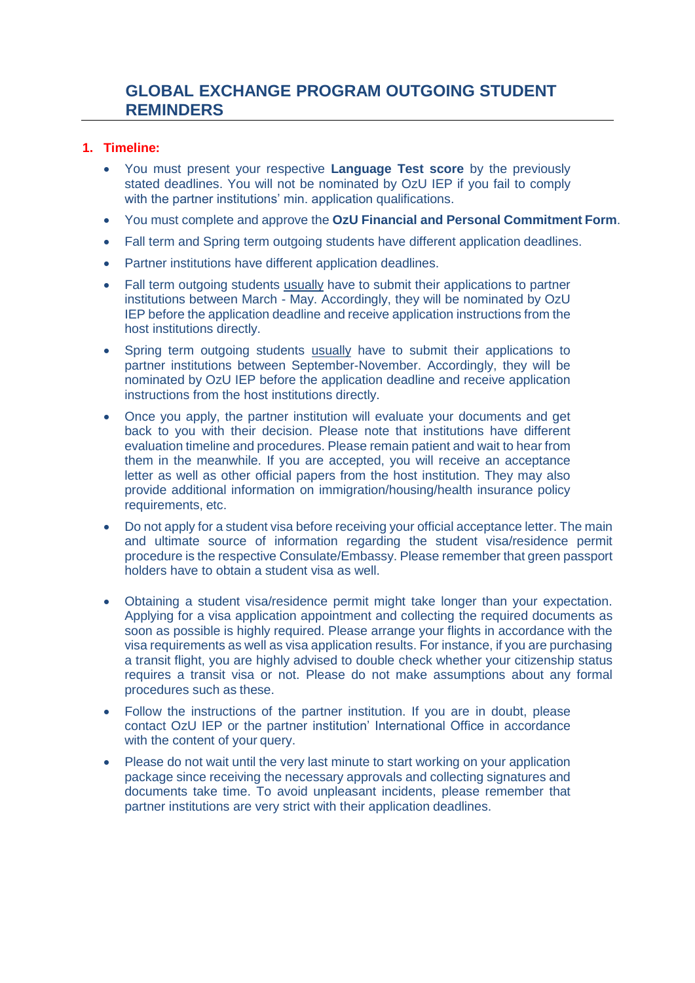## **1. Timeline:**

- You must present your respective **Language Test score** by the previously stated deadlines. You will not be nominated by OzU IEP if you fail to comply with the partner institutions' min. application qualifications.
- You must complete and approve the **OzU Financial and Personal Commitment Form**.
- Fall term and Spring term outgoing students have different application deadlines.
- Partner institutions have different application deadlines.
- Fall term outgoing students usually have to submit their applications to partner institutions between March - May. Accordingly, they will be nominated by OzU IEP before the application deadline and receive application instructions from the host institutions directly.
- Spring term outgoing students usually have to submit their applications to partner institutions between September-November. Accordingly, they will be nominated by OzU IEP before the application deadline and receive application instructions from the host institutions directly.
- Once you apply, the partner institution will evaluate your documents and get back to you with their decision. Please note that institutions have different evaluation timeline and procedures. Please remain patient and wait to hear from them in the meanwhile. If you are accepted, you will receive an acceptance letter as well as other official papers from the host institution. They may also provide additional information on immigration/housing/health insurance policy requirements, etc.
- Do not apply for a student visa before receiving your official acceptance letter. The main and ultimate source of information regarding the student visa/residence permit procedure is the respective Consulate/Embassy. Please remember that green passport holders have to obtain a student visa as well.
- Obtaining a student visa/residence permit might take longer than your expectation. Applying for a visa application appointment and collecting the required documents as soon as possible is highly required. Please arrange your flights in accordance with the visa requirements as well as visa application results. For instance, if you are purchasing a transit flight, you are highly advised to double check whether your citizenship status requires a transit visa or not. Please do not make assumptions about any formal procedures such as these.
- Follow the instructions of the partner institution. If you are in doubt, please contact OzU IEP or the partner institution' International Office in accordance with the content of your query.
- Please do not wait until the very last minute to start working on your application package since receiving the necessary approvals and collecting signatures and documents take time. To avoid unpleasant incidents, please remember that partner institutions are very strict with their application deadlines.